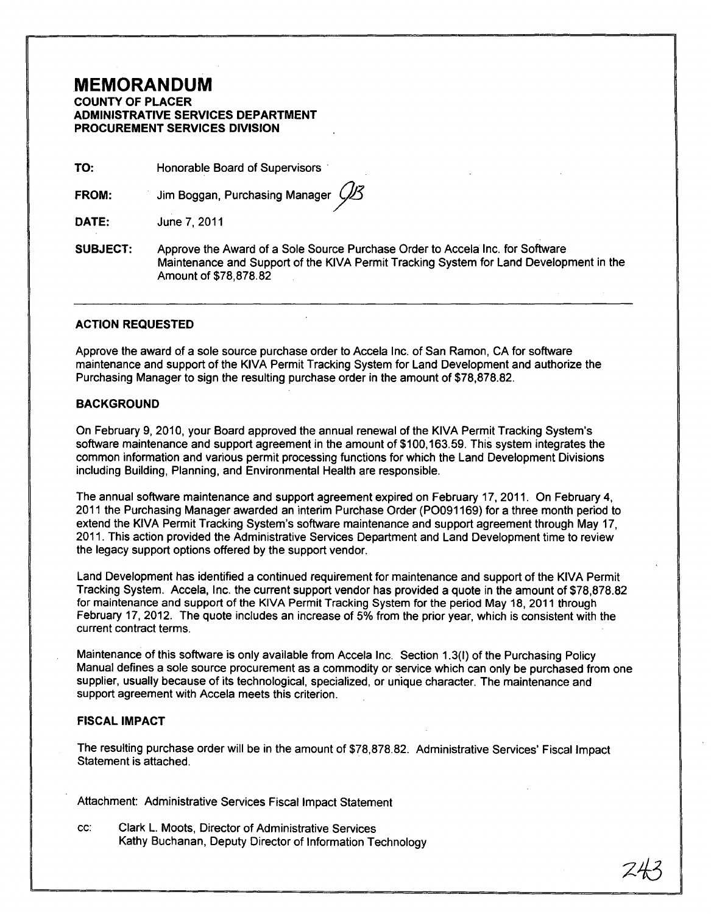# **MEMORANDUM**

**COUNTY OF PLACER ADMINISTRATIVE SERVICES DEPARTMENT PROCUREMENT SERVICES DIVISION** 

**TO:**  Honorable Board of Supervisors .

**FROM:**  Jim Boggan, Purchasing Manager (

**DATE:**  June 7,2011

**SUBJECT:**  Approve the Award of a Sole Source Purchase Order to Accela Inc. for Software Maintenance and Support of the KIVA Permit Tracking System for Land Development in the Amount of \$78,878.82

#### **ACTION REQUESTED**

Approve the award of a sole source purchase order to Accela Inc. of San Ramon, CA for software maintenance and support of the KIVA Permit Tracking System for Land Development and authorize the Purchasing Manager to sign the resulting purchase order in the amount of \$78,878.82.

## **BACKGROUND**

On February 9, 2010, your Board approved the annual renewal of the KIVA Permit Tracking System's software maintenance and support agreement in the amount of \$100,163.59. This system integrates the common information and various permit processing functions for which the Land Development Divisions including Building, Planning, and Environmental Health are responsible.

The annual software maintenance and support agreement expired on February 17, 2011. On February 4, 2011 the Purchasing Manager awarded an interim Purchase Order (P0091169) for a three month period to extend the KIVA Permit Tracking System's software maintenance and support agreement through May 17, 2011. This action provided the Administrative Services Department and Land Development time to review the legacy support options offered by the support vendor.

Land Development has identified a continued requirement for maintenance and support of the KIVA Permit Tracking System. Accela, Inc. the current support vendor has provided a quote in the amount of \$78,878.82 for maintenance and support of the KIVA Permit Tracking System for the period May 18, 2011 through February 17, 2012. The quote includes an increase of 5% from the prior year, which is consistent with the current contract terms.

Maintenance of this software is only available from Accela Inc. Section 1.3(I) of the Purchasing Policy Manual defines a sole source procurement as a commodity or service which can only be purchased from one supplier, usually because of its technological, specialized, or unique character. The maintenance and support agreement with Accela meets this criterion.

## **FISCAL IMPACT**

The resulting purchase order will be in the amount of \$78,878.82. Administrative Services' Fiscal Impact Statement is attached.

Attachment: Administrative Services Fiscal Impact Statement

cc: Clark L. Moots, Director of Administrative Services Kathy Buchanan, Deputy Director of Information Technology